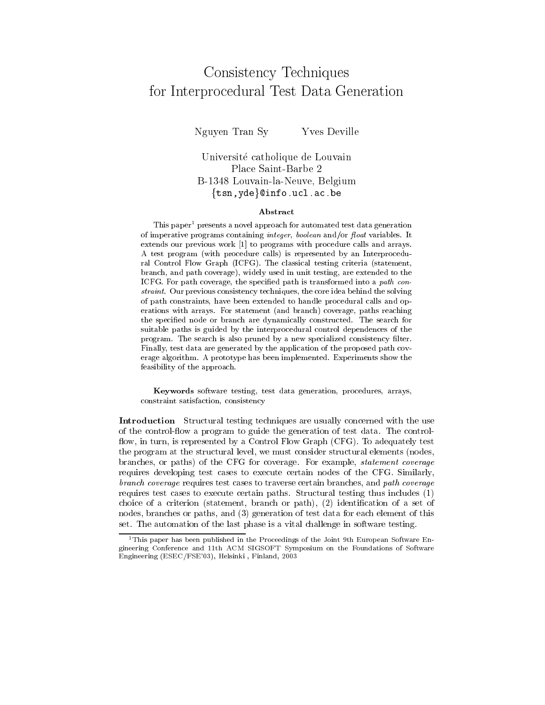## Consistency Techniques for Interprocedural Test Data Generation

NguyenYves Deville

## Universite catholique de Louvain Place Saint-Barbe 2B-1348 Louvain-la-Neuve, Belgium  $\{tsn, yde\}$ @info.ucl.ac.be

## Abstract

This paper<sup>1</sup> presents a novel approach for automated test data generation of imperative programs containing *integer*, *boolean* and/or *float* variables. It extends our previous work [1] to programs with procedure calls and arrays. A test program (with procedure calls) is represented by an Interprocedural Control Flow Graph (ICFG). The classical testing criteria (statement, branch, and path coverage), widely used in unit testing, are extended to the ICFG. For path coverage, the specied path is transformed into a path con straint. Our previous consistency techniques, the core idea behind the solving of path constraints, have been extended to handle procedural calls and operations with arrays. For statement (and branch) coverage, paths reaching the specied node or branch are dynamically constructed. The search for suitable paths is guided by the interprocedural control dependences of the program. The search is also pruned by a new specialized consistency filter. Finally, test data are generated by the application of the proposed path cov erage algorithm. A prototype has been implemented. Experiments show the feasibility of the approach.

Keywords software testing, test data generation, procedures, arrays, constraint satisfaction, consistency

Introduction Structural testing techniques are usually concerned with the use of the controlow a program to guide the generation of test data. The control flow, in turn, is represented by a Control Flow Graph (CFG). To adequately test the program at the structural level, we must consider structural elements (nodes, branches, or paths) of the CFG for coverage. For example, statement coverage requires developing test cases to execute certain nodes of the CFG. Similarly, branch coverage requires test cases to traverse certain branches, and path coverage requires test cases to execute certain paths. Structural testing thus includes (1) choice of a criterion (statement, branch or path), (2) identification of a set of nodes, branches or paths, and (3) generation of test data for each element of this set. The automation of the last phase is a vital challenge in software testing.

<sup>&</sup>lt;sup>1</sup>This paper has been published in the Proceedings of the Joint 9th European Software Engineering Conference and 11th ACM SIGSOFT Symposium on the Foundations of Software Engineering (ESEC/FSE'03), Helsinki , Finland, 2003